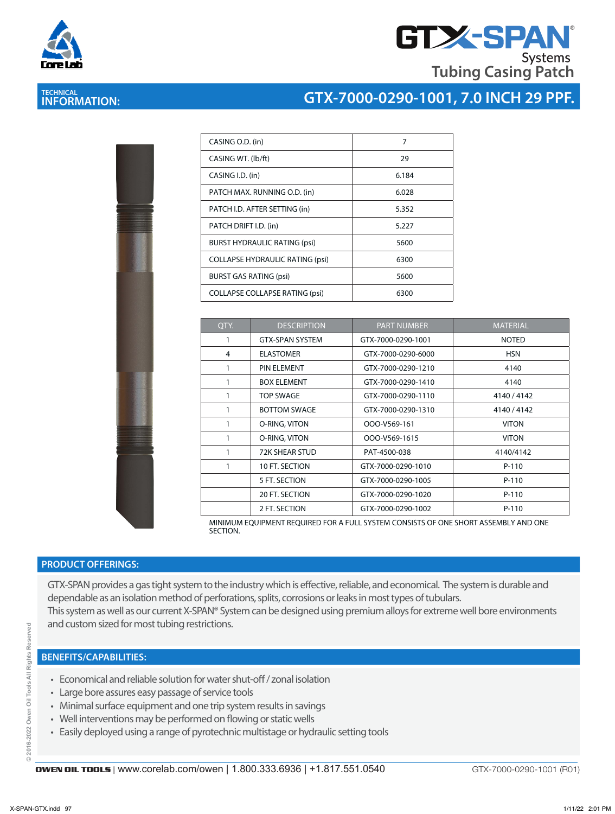

# **GTX-SPAN Tubing Casing Patch**

## **TECHNICAL INFORMATION:**

## **GTX-7000-0290-1001, 7.0 INCH 29 PPF.**

|   | l<br><b>CONSULTANCE</b>                                                         |
|---|---------------------------------------------------------------------------------|
|   |                                                                                 |
| I | š<br>į<br><b>CONTRACTOR</b><br><b>Contractor</b><br>I<br>i<br>ı<br>l.<br>F<br>ı |
|   |                                                                                 |
|   |                                                                                 |

| CASING O.D. (in)                       | 7     |
|----------------------------------------|-------|
| CASING WT. (lb/ft)                     | 29    |
| CASING I.D. (in)                       | 6.184 |
| PATCH MAX. RUNNING O.D. (in)           | 6.028 |
| PATCH I.D. AFTER SETTING (in)          | 5.352 |
| PATCH DRIFT I.D. (in)                  | 5.227 |
| <b>BURST HYDRAULIC RATING (psi)</b>    | 5600  |
| <b>COLLAPSE HYDRAULIC RATING (psi)</b> | 6300  |
| <b>BURST GAS RATING (psi)</b>          | 5600  |
| <b>COLLAPSE COLLAPSE RATING (psi)</b>  | 6300  |

| QTY. | <b>DESCRIPTION</b>     | <b>PART NUMBER</b> | <b>MATERIAL</b> |
|------|------------------------|--------------------|-----------------|
| 1    | <b>GTX-SPAN SYSTEM</b> | GTX-7000-0290-1001 | <b>NOTED</b>    |
| 4    | <b>ELASTOMER</b>       | GTX-7000-0290-6000 | <b>HSN</b>      |
|      | PIN ELEMENT            | GTX-7000-0290-1210 | 4140            |
|      | <b>BOX ELEMENT</b>     | GTX-7000-0290-1410 | 4140            |
| 1    | TOP SWAGE              | GTX-7000-0290-1110 | 4140/4142       |
| 1    | <b>BOTTOM SWAGE</b>    | GTX-7000-0290-1310 | 4140/4142       |
|      | O-RING, VITON          | OOO-V569-161       | <b>VITON</b>    |
| 1    | O-RING, VITON          | OOO-V569-1615      | <b>VITON</b>    |
| 1    | <b>72K SHEAR STUD</b>  | PAT-4500-038       | 4140/4142       |
|      | 10 FT. SECTION         | GTX-7000-0290-1010 | $P-110$         |
|      | 5 FT. SECTION          | GTX-7000-0290-1005 | $P-110$         |
|      | 20 FT. SECTION         | GTX-7000-0290-1020 | $P-110$         |
|      | 2 FT. SECTION          | GTX-7000-0290-1002 | $P-110$         |

MINIMUM EQUIPMENT REQUIRED FOR A FULL SYSTEM CONSISTS OF ONE SHORT ASSEMBLY AND ONE SECTION.

#### **PRODUCT OFFERINGS:**

GTX-SPAN provides a gas tight system to the industry which is effective, reliable, and economical. The system is durable and dependable as an isolation method of perforations, splits, corrosions or leaks in most types of tubulars. This system as well as our current X-SPAN® System can be designed using premium alloys for extreme well bore environments and custom sized for most tubing restrictions.

- Economical and reliable solution for water shut-off / zonal isolation
- Large bore assures easy passage of service tools
- Minimal surface equipment and one trip system results in savings
- Well interventions may be performed on flowing or static wells
- Easily deployed using a range of pyrotechnic multistage or hydraulic setting tools

yed

GTX-7000-0290-1001 (R01)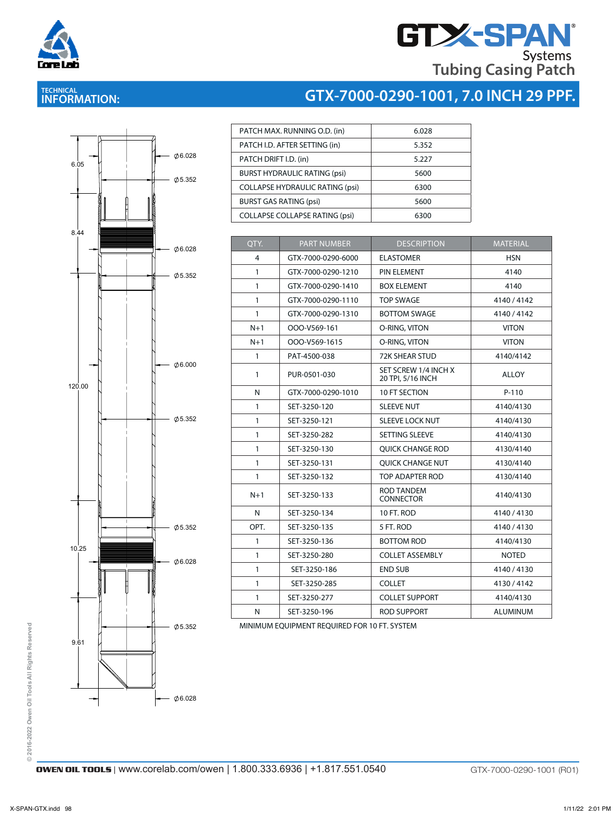

**TECHNICAL INFORMATION:** 

# **GTX-SPAN Tubing Casing Patch**

## **GTX-7000-0290-1001, 7.0 INCH 29 PPF.**



| PATCH MAX. RUNNING O.D. (in)           | 6.028 |
|----------------------------------------|-------|
| PATCH I.D. AFTER SETTING (in)          | 5.352 |
| PATCH DRIFT I.D. (in)                  | 5.227 |
| <b>BURST HYDRAULIC RATING (psi)</b>    | 5600  |
| <b>COLLAPSE HYDRAULIC RATING (psi)</b> | 6300  |
| <b>BURST GAS RATING (psi)</b>          | 5600  |
| <b>COLLAPSE COLLAPSE RATING (psi)</b>  | 6300  |
|                                        |       |

| QTY.         | <b>PART NUMBER</b> | <b>DESCRIPTION</b>                        | <b>MATERIAL</b> |
|--------------|--------------------|-------------------------------------------|-----------------|
| 4            | GTX-7000-0290-6000 | <b>ELASTOMER</b>                          | <b>HSN</b>      |
| $\mathbf{1}$ | GTX-7000-0290-1210 | PIN ELEMENT                               | 4140            |
| $\mathbf{1}$ | GTX-7000-0290-1410 | <b>BOX ELEMENT</b>                        | 4140            |
| $\mathbf{1}$ | GTX-7000-0290-1110 | <b>TOP SWAGE</b>                          | 4140/4142       |
| $\mathbf{1}$ | GTX-7000-0290-1310 | <b>BOTTOM SWAGE</b>                       | 4140/4142       |
| $N+1$        | OOO-V569-161       | O-RING, VITON                             | <b>VITON</b>    |
| $N+1$        | OOO-V569-1615      | O-RING, VITON                             | <b>VITON</b>    |
| $\mathbf{1}$ | PAT-4500-038       | <b>72K SHEAR STUD</b>                     | 4140/4142       |
| $\mathbf{1}$ | PUR-0501-030       | SET SCREW 1/4 INCH X<br>20 TPI, 5/16 INCH | <b>ALLOY</b>    |
| N            | GTX-7000-0290-1010 | 10 FT SECTION                             | $P-110$         |
| $\mathbf{1}$ | SET-3250-120       | <b>SLEEVE NUT</b>                         | 4140/4130       |
| $\mathbf{1}$ | SET-3250-121       | <b>SLEEVE LOCK NUT</b>                    | 4140/4130       |
| $\mathbf{1}$ | SET-3250-282       | SETTING SLEEVE                            | 4140/4130       |
| $\mathbf{1}$ | SET-3250-130       | <b>QUICK CHANGE ROD</b>                   | 4130/4140       |
| $\mathbf{1}$ | SET-3250-131       | <b>QUICK CHANGE NUT</b>                   | 4130/4140       |
| $\mathbf{1}$ | SET-3250-132       | TOP ADAPTER ROD                           | 4130/4140       |
| $N+1$        | SET-3250-133       | <b>ROD TANDEM</b><br><b>CONNECTOR</b>     | 4140/4130       |
| N            | SET-3250-134       | 10 FT. ROD                                | 4140/4130       |
| OPT.         | SET-3250-135       | 5 FT. ROD                                 | 4140/4130       |
| $\mathbf{1}$ | SET-3250-136       | <b>BOTTOM ROD</b>                         | 4140/4130       |
| $\mathbf{1}$ | SET-3250-280       | <b>COLLET ASSEMBLY</b>                    | <b>NOTED</b>    |
| $\mathbf{1}$ | SET-3250-186       | <b>END SUB</b>                            | 4140 / 4130     |
| $\mathbf{1}$ | SET-3250-285       | <b>COLLET</b>                             | 4130/4142       |
| $\mathbf{1}$ | SET-3250-277       | <b>COLLET SUPPORT</b>                     | 4140/4130       |
| N            | SET-3250-196       | ROD SUPPORT                               | <b>ALUMINUM</b> |
|              |                    |                                           |                 |

MINIMUM EQUIPMENT REQUIRED FOR 10 FT. SYSTEM

© 2016-2022 Owen Oil Tools All Rights Reserved **© 2016-2022 Owen Oil Tools All Rights Reserved**